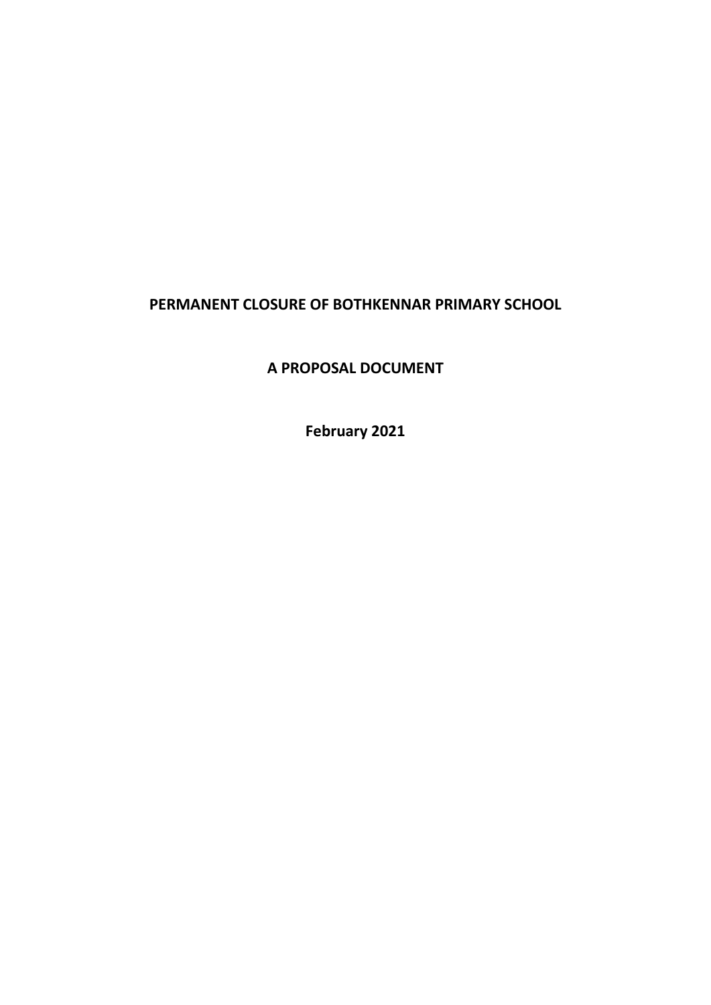## **PERMANENT CLOSURE OF BOTHKENNAR PRIMARY SCHOOL**

**A PROPOSAL DOCUMENT**

**February 2021**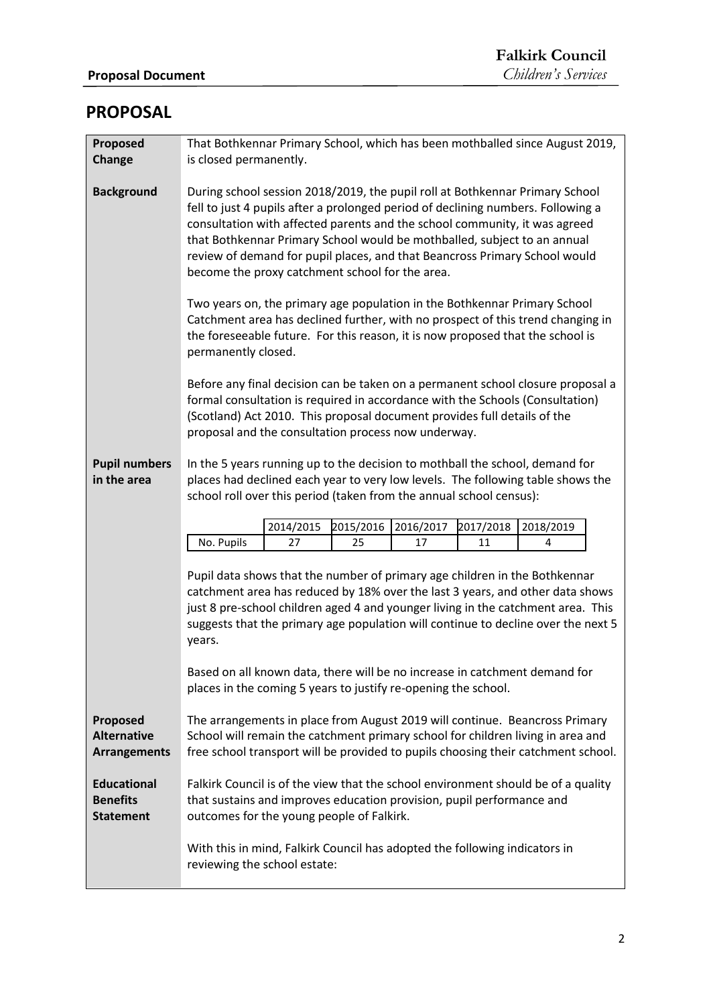## **PROPOSAL**

| Proposed<br>Change                                        | That Bothkennar Primary School, which has been mothballed since August 2019,<br>is closed permanently.                                                                                                                                                                                                                                                                                                                                                      |           |           |           |           |
|-----------------------------------------------------------|-------------------------------------------------------------------------------------------------------------------------------------------------------------------------------------------------------------------------------------------------------------------------------------------------------------------------------------------------------------------------------------------------------------------------------------------------------------|-----------|-----------|-----------|-----------|
| <b>Background</b>                                         | During school session 2018/2019, the pupil roll at Bothkennar Primary School<br>fell to just 4 pupils after a prolonged period of declining numbers. Following a<br>consultation with affected parents and the school community, it was agreed<br>that Bothkennar Primary School would be mothballed, subject to an annual<br>review of demand for pupil places, and that Beancross Primary School would<br>become the proxy catchment school for the area. |           |           |           |           |
|                                                           | Two years on, the primary age population in the Bothkennar Primary School<br>Catchment area has declined further, with no prospect of this trend changing in<br>the foreseeable future. For this reason, it is now proposed that the school is<br>permanently closed.                                                                                                                                                                                       |           |           |           |           |
|                                                           | Before any final decision can be taken on a permanent school closure proposal a<br>formal consultation is required in accordance with the Schools (Consultation)<br>(Scotland) Act 2010. This proposal document provides full details of the<br>proposal and the consultation process now underway.                                                                                                                                                         |           |           |           |           |
| <b>Pupil numbers</b><br>in the area                       | In the 5 years running up to the decision to mothball the school, demand for<br>places had declined each year to very low levels. The following table shows the<br>school roll over this period (taken from the annual school census):                                                                                                                                                                                                                      |           |           |           |           |
|                                                           | 2014/2015                                                                                                                                                                                                                                                                                                                                                                                                                                                   | 2015/2016 | 2016/2017 | 2017/2018 | 2018/2019 |
|                                                           | No. Pupils<br>27                                                                                                                                                                                                                                                                                                                                                                                                                                            | 25        | 17        | 11        | 4         |
|                                                           | Pupil data shows that the number of primary age children in the Bothkennar<br>catchment area has reduced by 18% over the last 3 years, and other data shows<br>just 8 pre-school children aged 4 and younger living in the catchment area. This<br>suggests that the primary age population will continue to decline over the next 5<br>years.<br>Based on all known data, there will be no increase in catchment demand for                                |           |           |           |           |
|                                                           | places in the coming 5 years to justify re-opening the school.                                                                                                                                                                                                                                                                                                                                                                                              |           |           |           |           |
| Proposed<br><b>Alternative</b><br><b>Arrangements</b>     | The arrangements in place from August 2019 will continue. Beancross Primary<br>School will remain the catchment primary school for children living in area and<br>free school transport will be provided to pupils choosing their catchment school.                                                                                                                                                                                                         |           |           |           |           |
| <b>Educational</b><br><b>Benefits</b><br><b>Statement</b> | Falkirk Council is of the view that the school environment should be of a quality<br>that sustains and improves education provision, pupil performance and<br>outcomes for the young people of Falkirk.                                                                                                                                                                                                                                                     |           |           |           |           |
|                                                           | With this in mind, Falkirk Council has adopted the following indicators in<br>reviewing the school estate:                                                                                                                                                                                                                                                                                                                                                  |           |           |           |           |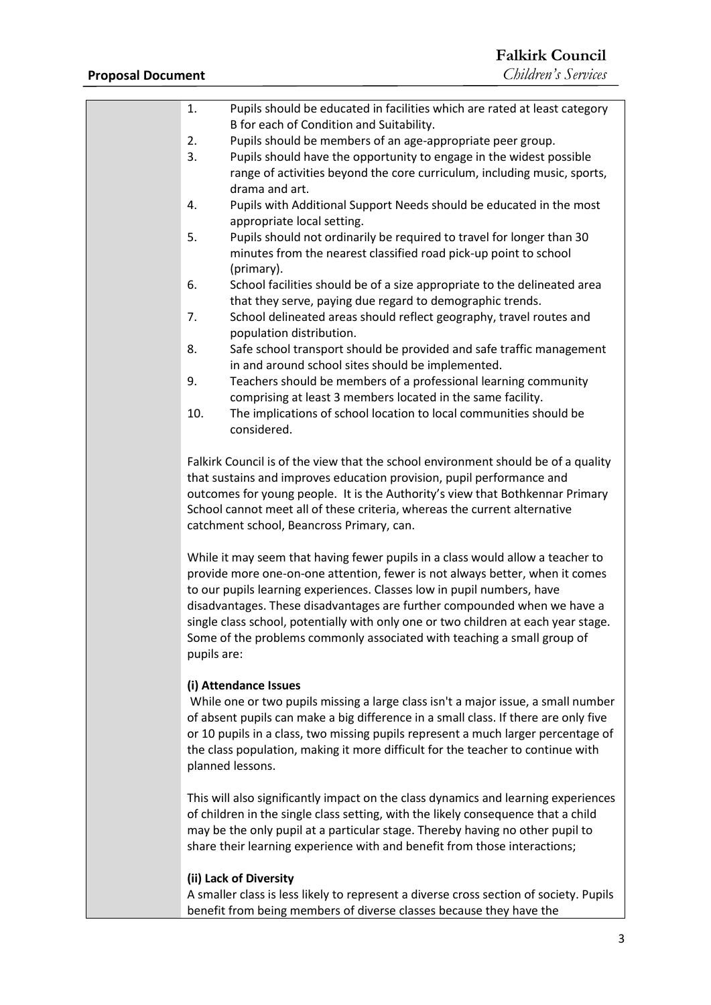| 1.          | Pupils should be educated in facilities which are rated at least category<br>B for each of Condition and Suitability.                                                                                                                                                                                                                                                                                                                                                                 |
|-------------|---------------------------------------------------------------------------------------------------------------------------------------------------------------------------------------------------------------------------------------------------------------------------------------------------------------------------------------------------------------------------------------------------------------------------------------------------------------------------------------|
| 2.          | Pupils should be members of an age-appropriate peer group.                                                                                                                                                                                                                                                                                                                                                                                                                            |
| 3.          | Pupils should have the opportunity to engage in the widest possible<br>range of activities beyond the core curriculum, including music, sports,                                                                                                                                                                                                                                                                                                                                       |
| 4.          | drama and art.<br>Pupils with Additional Support Needs should be educated in the most<br>appropriate local setting.                                                                                                                                                                                                                                                                                                                                                                   |
| 5.          | Pupils should not ordinarily be required to travel for longer than 30<br>minutes from the nearest classified road pick-up point to school<br>(primary).                                                                                                                                                                                                                                                                                                                               |
| 6.          | School facilities should be of a size appropriate to the delineated area<br>that they serve, paying due regard to demographic trends.                                                                                                                                                                                                                                                                                                                                                 |
| 7.          | School delineated areas should reflect geography, travel routes and<br>population distribution.                                                                                                                                                                                                                                                                                                                                                                                       |
| 8.          | Safe school transport should be provided and safe traffic management<br>in and around school sites should be implemented.                                                                                                                                                                                                                                                                                                                                                             |
| 9.          | Teachers should be members of a professional learning community<br>comprising at least 3 members located in the same facility.                                                                                                                                                                                                                                                                                                                                                        |
| 10.         | The implications of school location to local communities should be<br>considered.                                                                                                                                                                                                                                                                                                                                                                                                     |
|             | Falkirk Council is of the view that the school environment should be of a quality                                                                                                                                                                                                                                                                                                                                                                                                     |
|             | that sustains and improves education provision, pupil performance and<br>outcomes for young people. It is the Authority's view that Bothkennar Primary<br>School cannot meet all of these criteria, whereas the current alternative<br>catchment school, Beancross Primary, can.                                                                                                                                                                                                      |
| pupils are: | While it may seem that having fewer pupils in a class would allow a teacher to<br>provide more one-on-one attention, fewer is not always better, when it comes<br>to our pupils learning experiences. Classes low in pupil numbers, have<br>disadvantages. These disadvantages are further compounded when we have a<br>single class school, potentially with only one or two children at each year stage.<br>Some of the problems commonly associated with teaching a small group of |
|             | (i) Attendance Issues<br>While one or two pupils missing a large class isn't a major issue, a small number<br>of absent pupils can make a big difference in a small class. If there are only five<br>or 10 pupils in a class, two missing pupils represent a much larger percentage of<br>the class population, making it more difficult for the teacher to continue with<br>planned lessons.                                                                                         |
|             | This will also significantly impact on the class dynamics and learning experiences<br>of children in the single class setting, with the likely consequence that a child<br>may be the only pupil at a particular stage. Thereby having no other pupil to<br>share their learning experience with and benefit from those interactions;                                                                                                                                                 |
|             | (ii) Lack of Diversity<br>A smaller class is less likely to represent a diverse cross section of society. Pupils                                                                                                                                                                                                                                                                                                                                                                      |

benefit from being members of diverse classes because they have the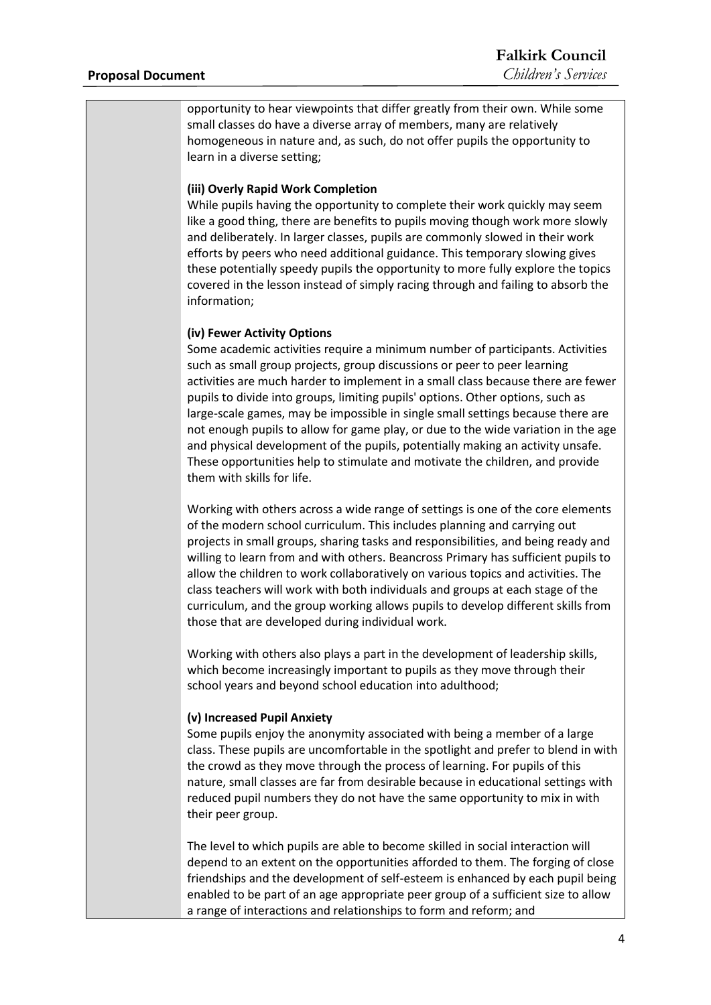opportunity to hear viewpoints that differ greatly from their own. While some small classes do have a diverse array of members, many are relatively homogeneous in nature and, as such, do not offer pupils the opportunity to learn in a diverse setting;

#### **(iii) Overly Rapid Work Completion**

While pupils having the opportunity to complete their work quickly may seem like a good thing, there are benefits to pupils moving though work more slowly and deliberately. In larger classes, pupils are commonly slowed in their work efforts by peers who need additional guidance. This temporary slowing gives these potentially speedy pupils the opportunity to more fully explore the topics covered in the lesson instead of simply racing through and failing to absorb the information;

#### **(iv) Fewer Activity Options**

Some academic activities require a minimum number of participants. Activities such as small group projects, group discussions or peer to peer learning activities are much harder to implement in a small class because there are fewer pupils to divide into groups, limiting pupils' options. Other options, such as large-scale games, may be impossible in single small settings because there are not enough pupils to allow for game play, or due to the wide variation in the age and physical development of the pupils, potentially making an activity unsafe. These opportunities help to stimulate and motivate the children, and provide them with skills for life.

Working with others across a wide range of settings is one of the core elements of the modern school curriculum. This includes planning and carrying out projects in small groups, sharing tasks and responsibilities, and being ready and willing to learn from and with others. Beancross Primary has sufficient pupils to allow the children to work collaboratively on various topics and activities. The class teachers will work with both individuals and groups at each stage of the curriculum, and the group working allows pupils to develop different skills from those that are developed during individual work.

Working with others also plays a part in the development of leadership skills, which become increasingly important to pupils as they move through their school years and beyond school education into adulthood;

#### **(v) Increased Pupil Anxiety**

Some pupils enjoy the anonymity associated with being a member of a large class. These pupils are uncomfortable in the spotlight and prefer to blend in with the crowd as they move through the process of learning. For pupils of this nature, small classes are far from desirable because in educational settings with reduced pupil numbers they do not have the same opportunity to mix in with their peer group.

The level to which pupils are able to become skilled in social interaction will depend to an extent on the opportunities afforded to them. The forging of close friendships and the development of self-esteem is enhanced by each pupil being enabled to be part of an age appropriate peer group of a sufficient size to allow a range of interactions and relationships to form and reform; and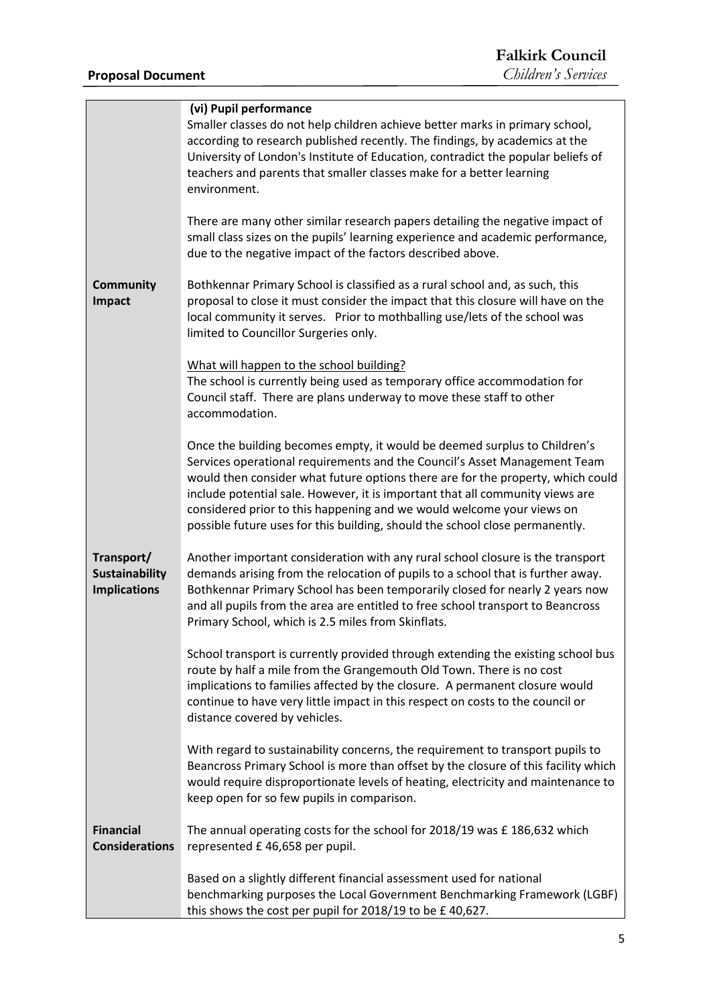|                                                            | (vi) Pupil performance<br>Smaller classes do not help children achieve better marks in primary school,<br>according to research published recently. The findings, by academics at the<br>University of London's Institute of Education, contradict the popular beliefs of<br>teachers and parents that smaller classes make for a better learning                                                                                                                                   |
|------------------------------------------------------------|-------------------------------------------------------------------------------------------------------------------------------------------------------------------------------------------------------------------------------------------------------------------------------------------------------------------------------------------------------------------------------------------------------------------------------------------------------------------------------------|
|                                                            | environment.<br>There are many other similar research papers detailing the negative impact of<br>small class sizes on the pupils' learning experience and academic performance,<br>due to the negative impact of the factors described above.                                                                                                                                                                                                                                       |
| Community<br><b>Impact</b>                                 | Bothkennar Primary School is classified as a rural school and, as such, this<br>proposal to close it must consider the impact that this closure will have on the<br>local community it serves. Prior to mothballing use/lets of the school was<br>limited to Councillor Surgeries only.                                                                                                                                                                                             |
|                                                            | What will happen to the school building?<br>The school is currently being used as temporary office accommodation for<br>Council staff. There are plans underway to move these staff to other<br>accommodation.                                                                                                                                                                                                                                                                      |
|                                                            | Once the building becomes empty, it would be deemed surplus to Children's<br>Services operational requirements and the Council's Asset Management Team<br>would then consider what future options there are for the property, which could<br>include potential sale. However, it is important that all community views are<br>considered prior to this happening and we would welcome your views on<br>possible future uses for this building, should the school close permanently. |
| Transport/<br><b>Sustainability</b><br><b>Implications</b> | Another important consideration with any rural school closure is the transport<br>demands arising from the relocation of pupils to a school that is further away.<br>Bothkennar Primary School has been temporarily closed for nearly 2 years now<br>and all pupils from the area are entitled to free school transport to Beancross<br>Primary School, which is 2.5 miles from Skinflats.                                                                                          |
|                                                            | School transport is currently provided through extending the existing school bus<br>route by half a mile from the Grangemouth Old Town. There is no cost<br>implications to families affected by the closure. A permanent closure would<br>continue to have very little impact in this respect on costs to the council or<br>distance covered by vehicles.                                                                                                                          |
|                                                            | With regard to sustainability concerns, the requirement to transport pupils to<br>Beancross Primary School is more than offset by the closure of this facility which<br>would require disproportionate levels of heating, electricity and maintenance to<br>keep open for so few pupils in comparison.                                                                                                                                                                              |
| <b>Financial</b><br><b>Considerations</b>                  | The annual operating costs for the school for 2018/19 was £ 186,632 which<br>represented £46,658 per pupil.                                                                                                                                                                                                                                                                                                                                                                         |
|                                                            | Based on a slightly different financial assessment used for national<br>benchmarking purposes the Local Government Benchmarking Framework (LGBF)<br>this shows the cost per pupil for 2018/19 to be £40,627.                                                                                                                                                                                                                                                                        |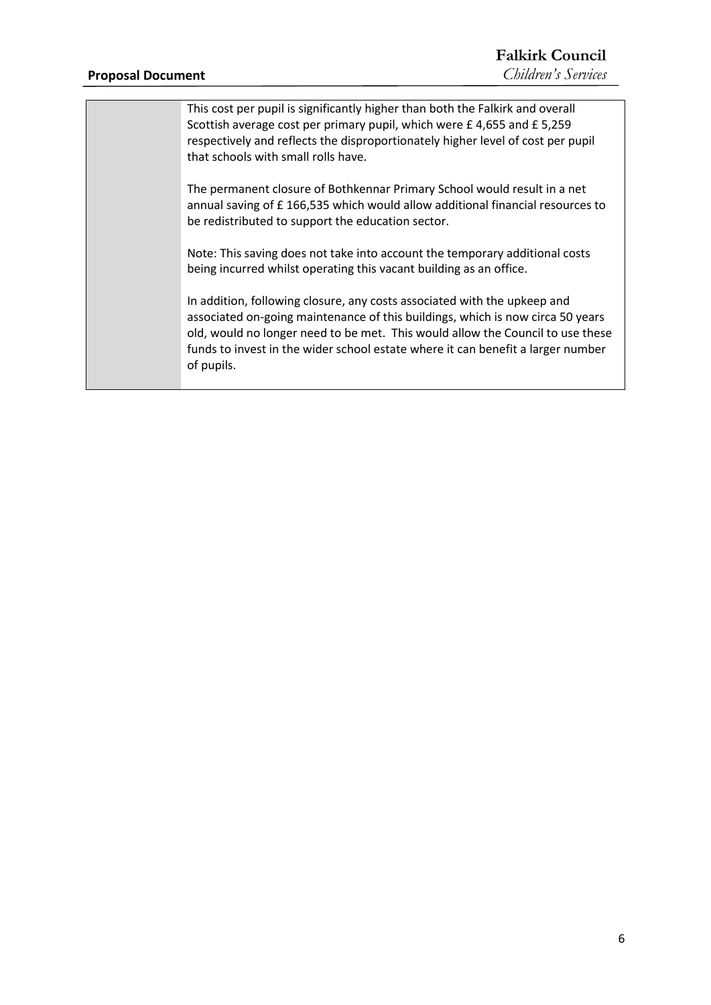#### **Proposal Document**

This cost per pupil is significantly higher than both the Falkirk and overall Scottish average cost per primary pupil, which were £ 4,655 and £ 5,259 respectively and reflects the disproportionately higher level of cost per pupil that schools with small rolls have.

The permanent closure of Bothkennar Primary School would result in a net annual saving of £ 166,535 which would allow additional financial resources to be redistributed to support the education sector.

Note: This saving does not take into account the temporary additional costs being incurred whilst operating this vacant building as an office.

In addition, following closure, any costs associated with the upkeep and associated on-going maintenance of this buildings, which is now circa 50 years old, would no longer need to be met. This would allow the Council to use these funds to invest in the wider school estate where it can benefit a larger number of pupils.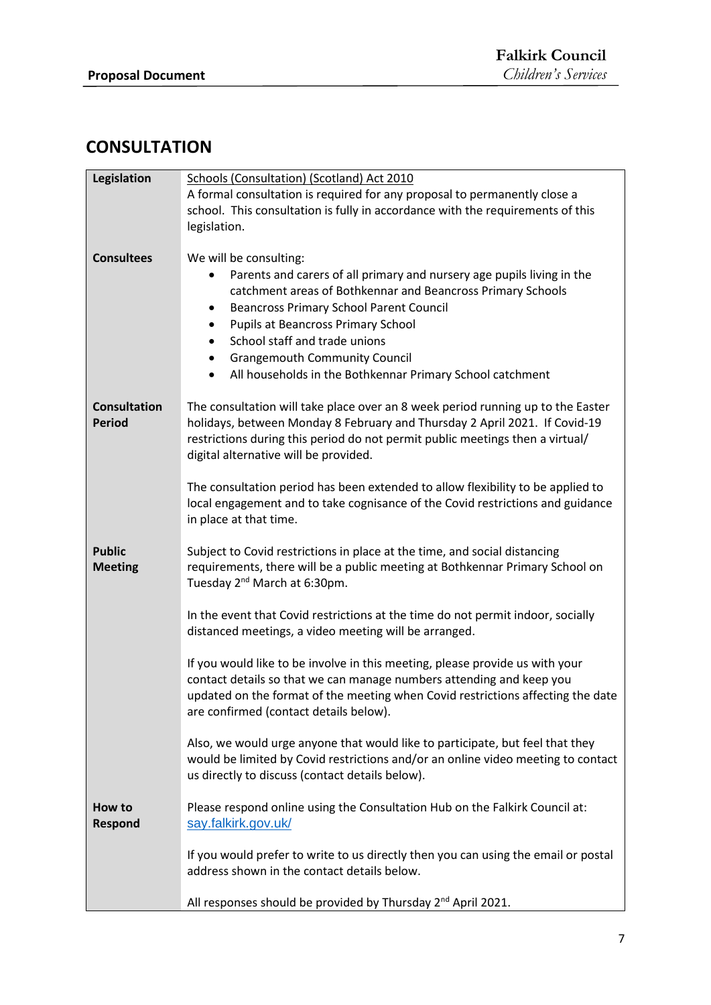# **CONSULTATION**

| Legislation         | Schools (Consultation) (Scotland) Act 2010                                                                                |  |  |
|---------------------|---------------------------------------------------------------------------------------------------------------------------|--|--|
|                     | A formal consultation is required for any proposal to permanently close a                                                 |  |  |
|                     | school. This consultation is fully in accordance with the requirements of this                                            |  |  |
|                     | legislation.                                                                                                              |  |  |
|                     |                                                                                                                           |  |  |
| <b>Consultees</b>   | We will be consulting:                                                                                                    |  |  |
|                     | Parents and carers of all primary and nursery age pupils living in the                                                    |  |  |
|                     | catchment areas of Bothkennar and Beancross Primary Schools                                                               |  |  |
|                     | <b>Beancross Primary School Parent Council</b><br>٠                                                                       |  |  |
|                     | Pupils at Beancross Primary School<br>$\bullet$                                                                           |  |  |
|                     | School staff and trade unions<br>$\bullet$                                                                                |  |  |
|                     | <b>Grangemouth Community Council</b><br>$\bullet$                                                                         |  |  |
|                     | All households in the Bothkennar Primary School catchment                                                                 |  |  |
| <b>Consultation</b> | The consultation will take place over an 8 week period running up to the Easter                                           |  |  |
| <b>Period</b>       | holidays, between Monday 8 February and Thursday 2 April 2021. If Covid-19                                                |  |  |
|                     | restrictions during this period do not permit public meetings then a virtual/                                             |  |  |
|                     | digital alternative will be provided.                                                                                     |  |  |
|                     |                                                                                                                           |  |  |
|                     | The consultation period has been extended to allow flexibility to be applied to                                           |  |  |
|                     | local engagement and to take cognisance of the Covid restrictions and guidance                                            |  |  |
|                     | in place at that time.                                                                                                    |  |  |
| <b>Public</b>       | Subject to Covid restrictions in place at the time, and social distancing                                                 |  |  |
| <b>Meeting</b>      | requirements, there will be a public meeting at Bothkennar Primary School on                                              |  |  |
|                     | Tuesday 2 <sup>nd</sup> March at 6:30pm.                                                                                  |  |  |
|                     |                                                                                                                           |  |  |
|                     | In the event that Covid restrictions at the time do not permit indoor, socially                                           |  |  |
|                     | distanced meetings, a video meeting will be arranged.                                                                     |  |  |
|                     |                                                                                                                           |  |  |
|                     | If you would like to be involve in this meeting, please provide us with your                                              |  |  |
|                     | contact details so that we can manage numbers attending and keep you                                                      |  |  |
|                     | updated on the format of the meeting when Covid restrictions affecting the date<br>are confirmed (contact details below). |  |  |
|                     |                                                                                                                           |  |  |
|                     | Also, we would urge anyone that would like to participate, but feel that they                                             |  |  |
|                     | would be limited by Covid restrictions and/or an online video meeting to contact                                          |  |  |
|                     | us directly to discuss (contact details below).                                                                           |  |  |
| How to              | Please respond online using the Consultation Hub on the Falkirk Council at:                                               |  |  |
| Respond             | say.falkirk.gov.uk/                                                                                                       |  |  |
|                     |                                                                                                                           |  |  |
|                     | If you would prefer to write to us directly then you can using the email or postal                                        |  |  |
|                     | address shown in the contact details below.                                                                               |  |  |
|                     |                                                                                                                           |  |  |
|                     | All responses should be provided by Thursday 2 <sup>nd</sup> April 2021.                                                  |  |  |